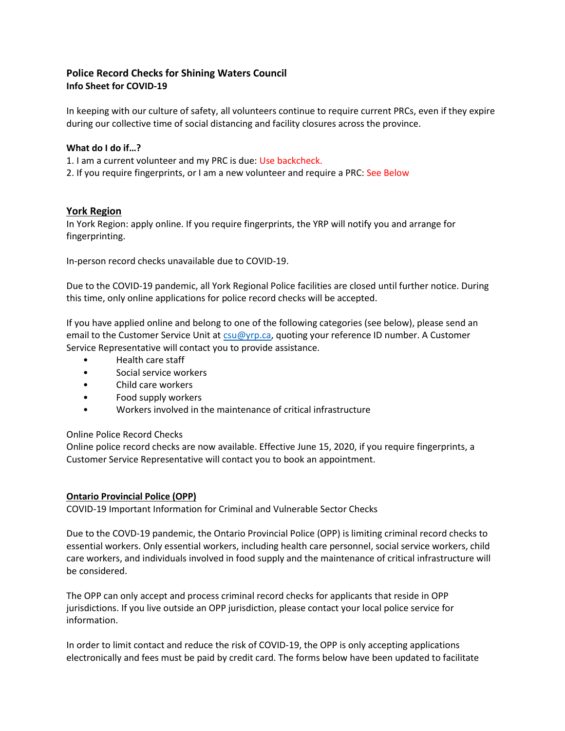# **Police Record Checks for Shining Waters Council Info Sheet for COVID-19**

In keeping with our culture of safety, all volunteers continue to require current PRCs, even if they expire during our collective time of social distancing and facility closures across the province.

# **What do I do if…?**

1. I am a current volunteer and my PRC is due: Use backcheck.

2. If you require fingerprints, or I am a new volunteer and require a PRC: See Below

# **York Region**

In York Region: apply online. If you require fingerprints, the YRP will notify you and arrange for fingerprinting.

In-person record checks unavailable due to COVID-19.

Due to the COVID-19 pandemic, all York Regional Police facilities are closed until further notice. During this time, only online applications for police record checks will be accepted.

If you have applied online and belong to one of the following categories (see below), please send an email to the Customer Service Unit at [csu@yrp.ca,](mailto:csu@yrp.ca) quoting your reference ID number. A Customer Service Representative will contact you to provide assistance.

- Health care staff
- Social service workers
- Child care workers
- Food supply workers
- Workers involved in the maintenance of critical infrastructure

#### Online Police Record Checks

Online police record checks are now available. Effective June 15, 2020, if you require fingerprints, a Customer Service Representative will contact you to book an appointment.

#### **Ontario Provincial Police (OPP)**

COVID-19 Important Information for Criminal and Vulnerable Sector Checks

Due to the COVD-19 pandemic, the Ontario Provincial Police (OPP) is limiting criminal record checks to essential workers. Only essential workers, including health care personnel, social service workers, child care workers, and individuals involved in food supply and the maintenance of critical infrastructure will be considered.

The OPP can only accept and process criminal record checks for applicants that reside in OPP jurisdictions. If you live outside an OPP jurisdiction, please contact your local police service for information.

In order to limit contact and reduce the risk of COVID-19, the OPP is only accepting applications electronically and fees must be paid by credit card. The forms below have been updated to facilitate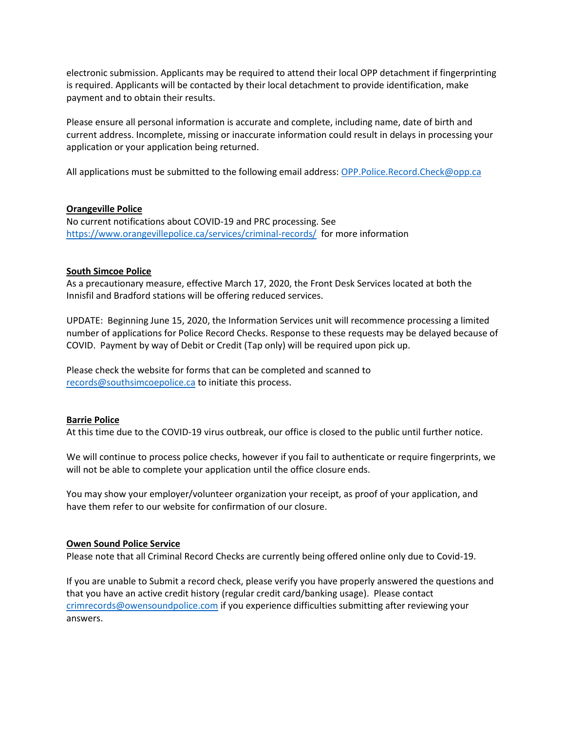electronic submission. Applicants may be required to attend their local OPP detachment if fingerprinting is required. Applicants will be contacted by their local detachment to provide identification, make payment and to obtain their results.

Please ensure all personal information is accurate and complete, including name, date of birth and current address. Incomplete, missing or inaccurate information could result in delays in processing your application or your application being returned.

All applications must be submitted to the following email address: [OPP.Police.Record.Check@opp.ca](mailto:OPP.Police.Record.Check@opp.ca)

### **Orangeville Police**

No current notifications about COVID-19 and PRC processing. See <https://www.orangevillepolice.ca/services/criminal-records/> for more information

### **South Simcoe Police**

As a precautionary measure, effective March 17, 2020, the Front Desk Services located at both the Innisfil and Bradford stations will be offering reduced services.

UPDATE: Beginning June 15, 2020, the Information Services unit will recommence processing a limited number of applications for Police Record Checks. Response to these requests may be delayed because of COVID. Payment by way of Debit or Credit (Tap only) will be required upon pick up.

Please check the website for forms that can be completed and scanned to [records@southsimcoepolice.ca](mailto:records@southsimcoepolice.ca) to initiate this process.

# **Barrie Police**

At this time due to the COVID-19 virus outbreak, our office is closed to the public until further notice.

We will continue to process police checks, however if you fail to authenticate or require fingerprints, we will not be able to complete your application until the office closure ends.

You may show your employer/volunteer organization your receipt, as proof of your application, and have them refer to our website for confirmation of our closure.

#### **Owen Sound Police Service**

Please note that all Criminal Record Checks are currently being offered online only due to Covid-19.

If you are unable to Submit a record check, please verify you have properly answered the questions and that you have an active credit history (regular credit card/banking usage). Please contact [crimrecords@owensoundpolice.com](mailto:crimrecords@owensoundpolice.com) if you experience difficulties submitting after reviewing your answers.